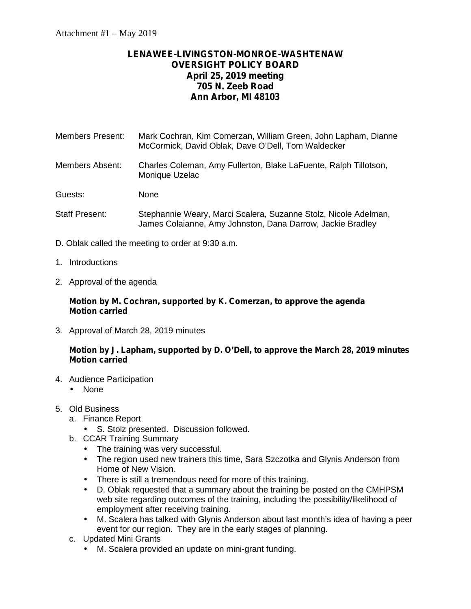# **LENAWEE-LIVINGSTON-MONROE-WASHTENAW OVERSIGHT POLICY BOARD April 25, 2019 meeting 705 N. Zeeb Road Ann Arbor, MI 48103**

Members Present: Mark Cochran, Kim Comerzan, William Green, John Lapham, Dianne McCormick, David Oblak, Dave O'Dell, Tom Waldecker

Members Absent: Charles Coleman, Amy Fullerton, Blake LaFuente, Ralph Tillotson, Monique Uzelac

Guests: None

- Staff Present: Stephannie Weary, Marci Scalera, Suzanne Stolz, Nicole Adelman, James Colaianne, Amy Johnston, Dana Darrow, Jackie Bradley
- D. Oblak called the meeting to order at 9:30 a.m.
- 1. Introductions
- 2. Approval of the agenda

## **Motion by M. Cochran, supported by K. Comerzan, to approve the agenda Motion carried**

3. Approval of March 28, 2019 minutes

## **Motion by J. Lapham, supported by D. O'Dell, to approve the March 28, 2019 minutes Motion carried**

- 4. Audience Participation
	- None
- 5. Old Business
	- a. Finance Report
		- S. Stolz presented. Discussion followed.
	- b. CCAR Training Summary
		- The training was very successful.
		- The region used new trainers this time, Sara Szczotka and Glynis Anderson from Home of New Vision.
		- There is still a tremendous need for more of this training.
		- D. Oblak requested that a summary about the training be posted on the CMHPSM web site regarding outcomes of the training, including the possibility/likelihood of employment after receiving training.
		- M. Scalera has talked with Glynis Anderson about last month's idea of having a peer event for our region. They are in the early stages of planning.
	- c. Updated Mini Grants
		- M. Scalera provided an update on mini-grant funding.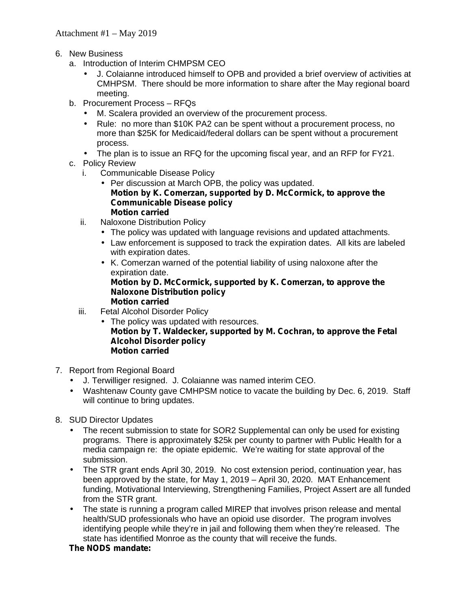- 6. New Business
	- a. Introduction of Interim CHMPSM CEO
		- J. Colaianne introduced himself to OPB and provided a brief overview of activities at CMHPSM. There should be more information to share after the May regional board meeting.
	- b. Procurement Process RFQs
		- M. Scalera provided an overview of the procurement process.
		- Rule: no more than \$10K PA2 can be spent without a procurement process, no more than \$25K for Medicaid/federal dollars can be spent without a procurement process.
		- The plan is to issue an RFQ for the upcoming fiscal year, and an RFP for FY21.
	- c. Policy Review
		- i. Communicable Disease Policy
			- $\int$  Per discussion at March OPB, the policy was updated. **Motion by K. Comerzan, supported by D. McCormick, to approve the Communicable Disease policy Motion carried**
		- ii. Naloxone Distribution Policy
			- The policy was updated with language revisions and updated attachments.
			- Law enforcement is supposed to track the expiration dates. All kits are labeled with expiration dates.
			- K. Comerzan warned of the potential liability of using naloxone after the expiration date. **Motion by D. McCormick, supported by K. Comerzan, to approve the**

#### **Naloxone Distribution policy Motion carried**

- iii. Fetal Alcohol Disorder Policy
	- The policy was updated with resources. **Motion by T. Waldecker, supported by M. Cochran, to approve the Fetal Alcohol Disorder policy Motion carried**
- 7. Report from Regional Board
	- J. Terwilliger resigned. J. Colaianne was named interim CEO.
	- Washtenaw County gave CMHPSM notice to vacate the building by Dec. 6, 2019. Staff will continue to bring updates.
- 8. SUD Director Updates
	- The recent submission to state for SOR2 Supplemental can only be used for existing programs. There is approximately \$25k per county to partner with Public Health for a media campaign re: the opiate epidemic. We're waiting for state approval of the submission.
	- The STR grant ends April 30, 2019. No cost extension period, continuation year, has been approved by the state, for May 1, 2019 – April 30, 2020. MAT Enhancement funding, Motivational Interviewing, Strengthening Families, Project Assert are all funded from the STR grant.
	- The state is running a program called MIREP that involves prison release and mental health/SUD professionals who have an opioid use disorder. The program involves identifying people while they're in jail and following them when they're released. The state has identified Monroe as the county that will receive the funds.

## **The NODS mandate:**